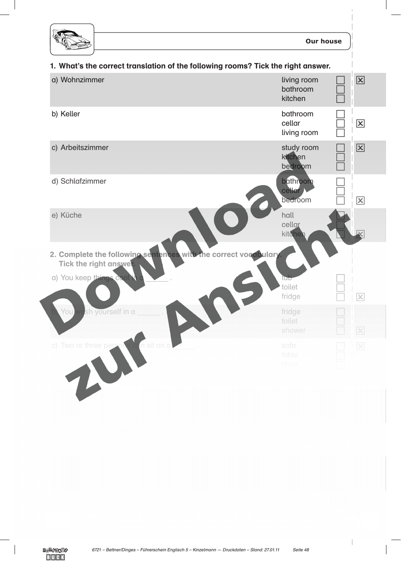

 $\Box$  $\Box$ 

 $\Box$  $\Box$   $\vert x \vert$ 



2. Complete the following sentences with the correct vocabulary Tick the right answe

**fridge** to the control of the control of the control of the control of the control of the control of the control of the control of the control of the control of the control of the control of the control of the control of

toilet and the state of the state of the state of the state of the state of the state of the state of the state of the state of the state of the state of the state of the state of the state of the state of the state of the shower and the shower shower and the shower

table table to the contract of the contract of the contract of the contract of the contract of the contract of and the chair chair chair chair chair chair chair chair chair chair chair chair chair

3. In which room do you find the following things? Tick the right answer.

a) desk, chair, computer, shelves living room

a) You keep things cool in a . the state of the state of the toilet and the contract of the contract of the contract of the contract of the contract of the contract of the contract of the contract of the contract of the contract of the contract of the contract of the contract of the

**b** You wash yourself in a **the contract of the contract of the contract of the contract of the contract of the contract of the contract of the contract of the contract of the contract of the contract of the contract of th** 

c) Two or three persons can sit on a . Sofa . Sofa . Sofa . Sofa . Sofa . Sofa . Sofa . Sofa . Sofa . Sofa . Sofa . Sofa . Sofa . Sofa . Sofa . Sofa . Sofa . Sofa . Sofa . Sofa . Sofa . Sofa . Sofa . Sofa . Sofa . Sofa . S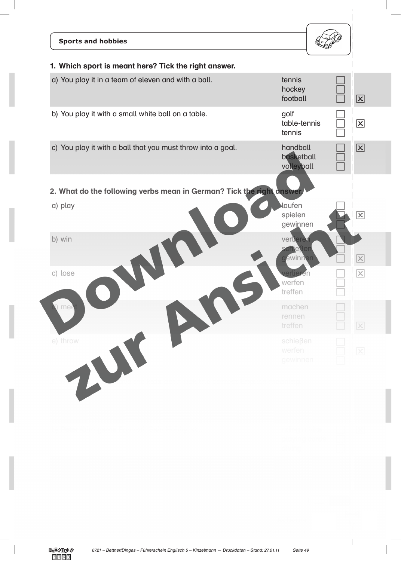| <b>Sports and hobbies</b>                                                                                   |                                          |                      |
|-------------------------------------------------------------------------------------------------------------|------------------------------------------|----------------------|
| 1. Which sport is meant here? Tick the right answer.<br>a) You play it in a team of eleven and with a ball. | tennis                                   |                      |
|                                                                                                             | hockey<br>football                       | $\boxed{\mathsf{x}}$ |
| b) You play it with a small white ball on a table.                                                          | golf<br>table-tennis<br>tennis           | $\boxed{\mathsf{x}}$ |
| c) You play it with a ball that you must throw into a goal.                                                 | handball<br>basketball<br>volleyball     | $\boxed{\mathbf{X}}$ |
| 2. What do the following verbs mean in German? Tick the right answer.                                       |                                          |                      |
| a) play                                                                                                     | laufen<br>spielen<br>gewinnen            | $\boxed{\mathsf{x}}$ |
| b) win                                                                                                      | verlieren<br><b>schießen</b><br>géwinnen | $\vert x \vert$      |
| c) lose                                                                                                     | werfen<br>treffen                        | $\vert x \vert$      |
| ) mee                                                                                                       | machen<br>rennen<br>treffen              | $\boxed{\times}$     |
| e) throw                                                                                                    | schießen<br>werfen<br>gewinnen           | $\mathsf{X}% _{0}$   |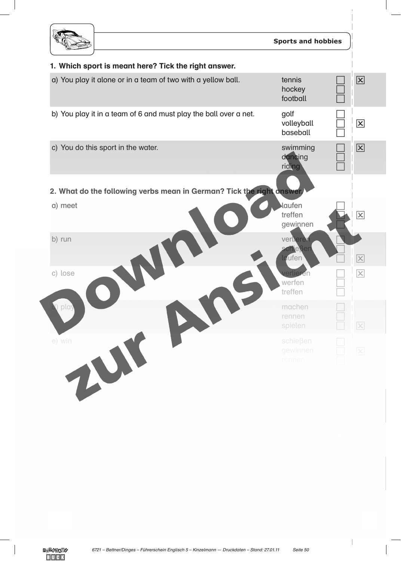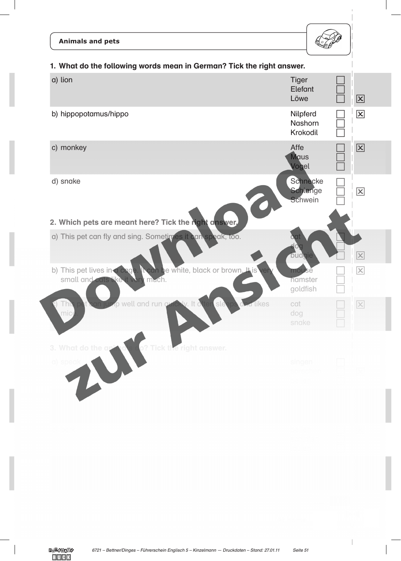| <b>Animals and pets</b>                                                                                   |                                 |                         |
|-----------------------------------------------------------------------------------------------------------|---------------------------------|-------------------------|
| 1. What do the following words mean in German? Tick the right answer.                                     |                                 |                         |
| a) lion                                                                                                   | <b>Tiger</b><br>Elefant<br>Löwe | $\boxed{\mathsf{x}}$    |
| b) hippopotamus/hippo                                                                                     | Nilpferd<br>Nashorn<br>Krokodil | $\boxed{\mathsf{x}}$    |
| c) monkey                                                                                                 | Affe<br><b>Maus</b><br>Vogel    | 区                       |
| d) snake<br>2. Which pets are meant here? Tick the right answer.                                          | Schnecke<br>Schlange<br>Schwein | $\overline{\mathsf{x}}$ |
| a) This pet can fly and sing. Sometimes it can speak, too.                                                | budgie                          |                         |
| b) This pet lives in a coge. It can be white, black or brown. It is<br>small and cats the it ver<br>much. | mouse<br>hamster<br>goldfish    |                         |
| It can justip well and run quickly. It often sleeps d<br><b>Id likes</b><br><b>This</b><br>mice           | cat<br>dog<br>snake             | $\boxed{\times}$        |
| 3. What do the at<br>Tick the right answer.                                                               |                                 |                         |

b) run fliegen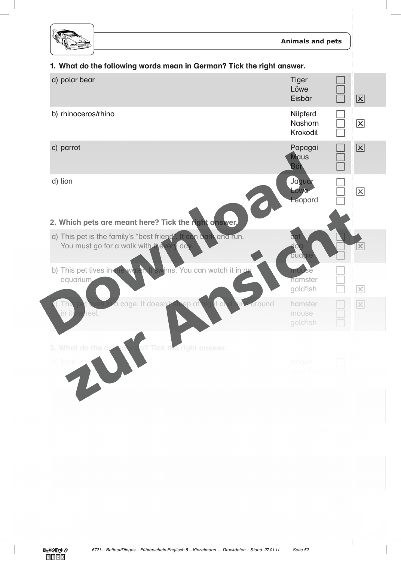

## 1. What do the following words mean in German? Tick the right answer.

| a) polar bear                                                                                                | <b>Tiger</b><br>Löwe<br>Eisbär                | $\vert x \vert$         |
|--------------------------------------------------------------------------------------------------------------|-----------------------------------------------|-------------------------|
| b) rhinoceros/rhino                                                                                          | Nilpferd<br><b>Nashorn</b><br><b>Krokodil</b> | $\vert\mathsf{x}\vert$  |
| c) parrot                                                                                                    | Papagai<br><b>Maus</b><br><b>Bär</b>          | 区                       |
| d) lion                                                                                                      | Jaguar<br>Löwe<br>Leopard                     | $\overline{\mathsf{x}}$ |
| 2. Which pets are meant here? Tick the right answer.                                                         |                                               |                         |
| a) This pet is the family's "best friend". It can bark and run.<br>You must go for a walk with it every day. | dog<br><b>budgie</b>                          |                         |
| b) This pet lives in the woten<br>It swims. You can watch it in an<br>aquarium                               | mouse<br>hamster<br>goldfish                  | $\times$                |
| around<br>a cage. It doesn'<br>it al<br>Thi<br>ep at'<br>in its<br>heel.                                     | hamster<br>mouse<br>goldfish                  | $\overline{\times}$     |
| 3. What do the a<br><b>Tick the right answer.</b>                                                            |                                               |                         |
| a) bark                                                                                                      | singen                                        |                         |

b) fly fliely fliely fliely fliely fliely fliely fliely fliely fliely fliely fliely fliely fliely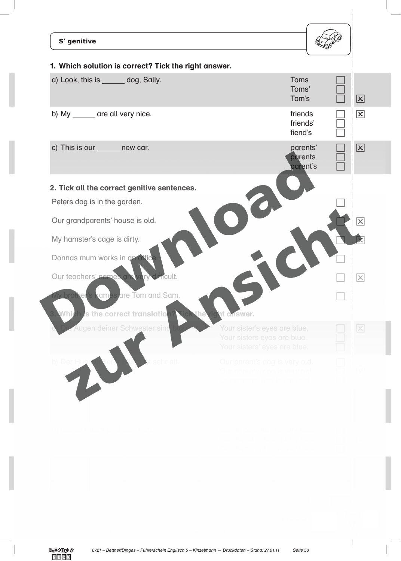| S' genitive<br>1. Which solution is correct? Tick the right answer.         |                                                                                             |                             |
|-----------------------------------------------------------------------------|---------------------------------------------------------------------------------------------|-----------------------------|
| a) Look, this is ______ dog, Sally.                                         | <b>Toms</b><br>Toms'<br>Tom's                                                               | $\boxed{\mathsf{x}}$        |
| b) My ______ are all very nice.                                             | friends<br>friends'<br>fiend's                                                              | $\boxed{\mathsf{x}}$        |
| c) This is our _______ new car.                                             | parents'<br>parents<br>parent's                                                             | 区                           |
| 2. Tick all the correct genitive sentences.<br>Peters dog is in the garden. |                                                                                             |                             |
| Our grandparents' house is old.                                             |                                                                                             | $ \boldsymbol{\mathsf{x}} $ |
| My hamster's cage is dirty.<br>Donnas mum works in an offic                 |                                                                                             |                             |
| Our teachers' names are<br><b>Jimcult.</b>                                  |                                                                                             |                             |
| vly brother's names are Tom and Sam.<br>s the correct translation<br>Whi    | ht answer.<br>the                                                                           |                             |
| Augen deiner Schwester sind                                                 | Your sister's eyes are blue.<br>Your sisters eyes are blue.<br>Your sisters' eyes are blue. | $\boxed{\times}$            |
| b) Der Hi<br>sehr alt                                                       | Our parent's dog is very old.                                                               |                             |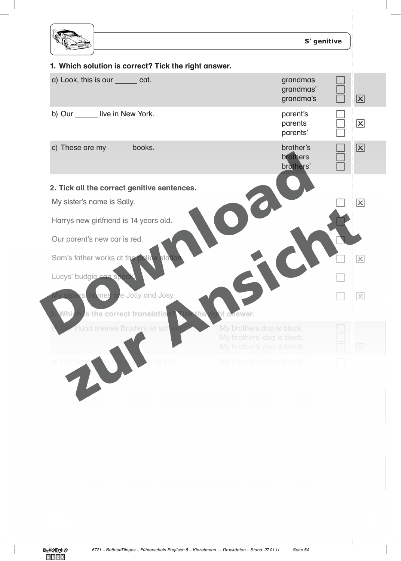|                                                      |                                                                                       | S' genitive |                 |
|------------------------------------------------------|---------------------------------------------------------------------------------------|-------------|-----------------|
| 1. Which solution is correct? Tick the right answer. |                                                                                       |             |                 |
| a) Look, this is our _______ cat.                    | grandmas<br>grandmas'<br>grandma's                                                    |             | $\vert x \vert$ |
| b) Our live in New York.                             | parent's<br>parents<br>parents'                                                       |             | $\vert x \vert$ |
| c) These are my ______ books.                        | brother's<br>brothers<br>brothers'                                                    |             | $\vert x \vert$ |
| 2. Tick all the correct genitive sentences.          |                                                                                       |             |                 |
| My sister's name is Sally.                           |                                                                                       |             | $ \mathsf{x} $  |
| Harrys new girlfriend is 14 years old.               |                                                                                       |             |                 |
| Our parent's new car is red.                         |                                                                                       |             |                 |
| Sam's father works at the police station             |                                                                                       |             |                 |
| Lucys' budgie ean spea                               |                                                                                       |             |                 |
| <mark>Vly sisters nomes a e</mark> Jolly and Josy.   |                                                                                       |             | $\times$        |
| <mark>Which is the correct translatio</mark> n       | the<br>ht answer.                                                                     |             |                 |
| Hund meines Bruders ist schw                         | My brothers dog is black.<br>My brothers' dog is black.<br>My brother's dog is black. |             |                 |
| b) Der (<br>ist wild                                 | My friends garden is wild.                                                            |             |                 |

c) Die Farbe ihres Hauses ist gelb. Their houses colour is yellow.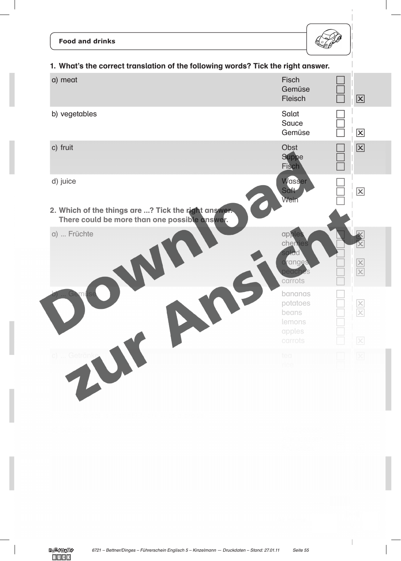## **Food and drinks**



| 1. What's the correct translation of the following words? Tick the right answer.                     |                                                             |                      |  |
|------------------------------------------------------------------------------------------------------|-------------------------------------------------------------|----------------------|--|
| a) meat                                                                                              | <b>Fisch</b><br>Gemüse<br>Fleisch                           | $\boxed{\mathbf{X}}$ |  |
| b) vegetables                                                                                        | Salat<br><b>Sauce</b><br>Gemüse                             | $\boxed{\mathsf{x}}$ |  |
| c) fruit                                                                                             | Obst<br><b>Suppe</b><br><b>Fisch</b>                        | $\boxed{\mathbf{X}}$ |  |
| d) juice                                                                                             | Wasser<br>Saft<br>Wein                                      | $\boxed{\mathsf{x}}$ |  |
| 2. Which of the things are ? Tick the right answer.<br>There could be more than one possible answer. |                                                             |                      |  |
| a)  Früchte                                                                                          | apple<br>cherries<br>salad                                  |                      |  |
|                                                                                                      | oranges<br>peaches<br>carrots                               |                      |  |
|                                                                                                      | bananas<br>potatoes<br>beans<br>lemons<br>apples<br>carrots | $\times$             |  |
| c)  Getränk                                                                                          | tea<br>rice                                                 |                      |  |

water and the contract of the contract of the contract of the contract of the contract of the contract of milke and the state of the state of the state of the state of the state of the state of the state of the state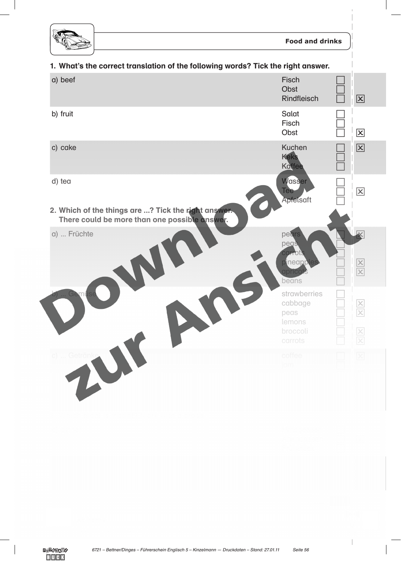

1

## 1. What's the correct translation of the following words? Tick the right answer.

| a) beef                                                                                              | <b>Fisch</b><br>Obst<br><b>Rindfleisch</b>                       | $\boxed{\mathbf{X}}$            |
|------------------------------------------------------------------------------------------------------|------------------------------------------------------------------|---------------------------------|
| b) fruit                                                                                             | <b>Salat</b><br>Fisch<br>Obst                                    | $\boxed{\mathsf{x}}$            |
| c) cake                                                                                              | <b>Kuchen</b><br>Keks<br>Kaffee                                  | $\boxed{\mathbf{X}}$            |
| d) tea                                                                                               | Wasser<br><b>Tee</b><br>Apfelsaft                                | $\boxed{\mathsf{x}}$            |
| 2. Which of the things are ? Tick the right answer.<br>There could be more than one possible answer. |                                                                  |                                 |
| a)  Früchte                                                                                          | pears<br>pegs<br>corrot<br>pineapp<br>aprico<br>beans            | $\frac{\mathsf{x}}{\mathsf{x}}$ |
|                                                                                                      | strawberries<br>cabbage<br>peas<br>lemons<br>broccoli<br>carrots |                                 |
|                                                                                                      | coffee                                                           |                                 |

beans the control of the control of the control of the control of the control of the control of the control of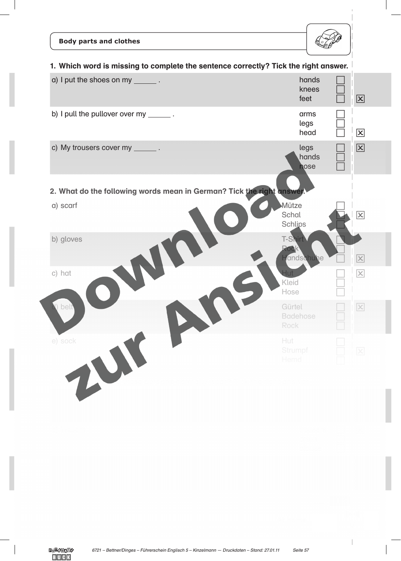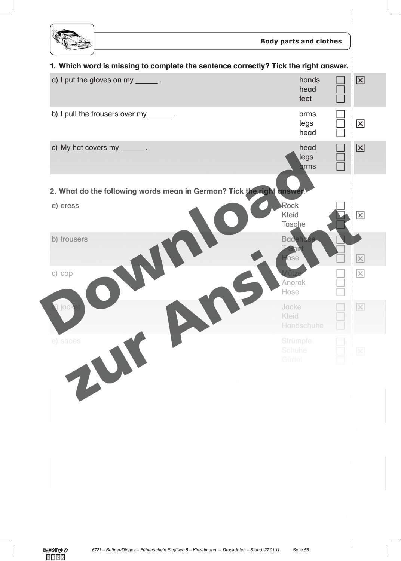

f,

| 1. Which word is missing to complete the sentence correctly? Tick the right answer.                                                                                                                                                                                                                                                                                                                               |                                       |                         |
|-------------------------------------------------------------------------------------------------------------------------------------------------------------------------------------------------------------------------------------------------------------------------------------------------------------------------------------------------------------------------------------------------------------------|---------------------------------------|-------------------------|
| a) I put the gloves on my _______.                                                                                                                                                                                                                                                                                                                                                                                | hands<br>head<br>feet                 | 区                       |
| b) I pull the trousers over my $\frac{1}{\sqrt{1-\frac{1}{\sqrt{1-\frac{1}{\sqrt{1-\frac{1}{\sqrt{1-\frac{1}{\sqrt{1-\frac{1}{\sqrt{1-\frac{1}{\sqrt{1-\frac{1}{\sqrt{1-\frac{1}{\sqrt{1-\frac{1}{\sqrt{1-\frac{1}{\sqrt{1-\frac{1}{\sqrt{1-\frac{1}{\sqrt{1-\frac{1}{\sqrt{1-\frac{1}{\sqrt{1-\frac{1}{\sqrt{1-\frac{1}{\sqrt{1-\frac{1}{\sqrt{1-\frac{1}{\sqrt{1-\frac{1}{\sqrt{1-\frac{1}{\sqrt{1$             | arms<br>legs<br>head                  | $\boxed{\mathsf{x}}$    |
| c) My hat covers my $\frac{1}{\sqrt{1-\frac{1}{\sqrt{1-\frac{1}{\sqrt{1-\frac{1}{\sqrt{1-\frac{1}{\sqrt{1-\frac{1}{\sqrt{1-\frac{1}{\sqrt{1-\frac{1}{\sqrt{1-\frac{1}{\sqrt{1-\frac{1}{\sqrt{1-\frac{1}{\sqrt{1-\frac{1}{\sqrt{1-\frac{1}{\sqrt{1-\frac{1}{\sqrt{1-\frac{1}{\sqrt{1-\frac{1}{\sqrt{1-\frac{1}{\sqrt{1-\frac{1}{\sqrt{1-\frac{1}{\sqrt{1-\frac{1}{\sqrt{1-\frac{1}{\sqrt{1-\frac{1}{\sqrt{1-\frac$ | head<br>legs<br>drms                  | 区                       |
| 2. What do the following words mean in German? Tick the right answer.                                                                                                                                                                                                                                                                                                                                             |                                       |                         |
| a) dress                                                                                                                                                                                                                                                                                                                                                                                                          | Rock<br><b>Kleid</b><br><b>Tasche</b> | $\overline{\mathsf{x}}$ |
| b) trousers                                                                                                                                                                                                                                                                                                                                                                                                       | <b>Badehose</b><br>fose               | X                       |
| c) cap                                                                                                                                                                                                                                                                                                                                                                                                            | Anorak<br>Hose                        | $ \mathsf{x} $          |
| ) jack                                                                                                                                                                                                                                                                                                                                                                                                            | Jacke<br><b>Kleid</b><br>Handschuhe   | $\vert x \vert$         |
| e) shoes                                                                                                                                                                                                                                                                                                                                                                                                          | Strümpfe<br>Schuhe<br>Gürtel          | $\mathsf{X}% _{0}$      |

a) Father dress and the state of the state of the state of the state of the state of the state of the state of